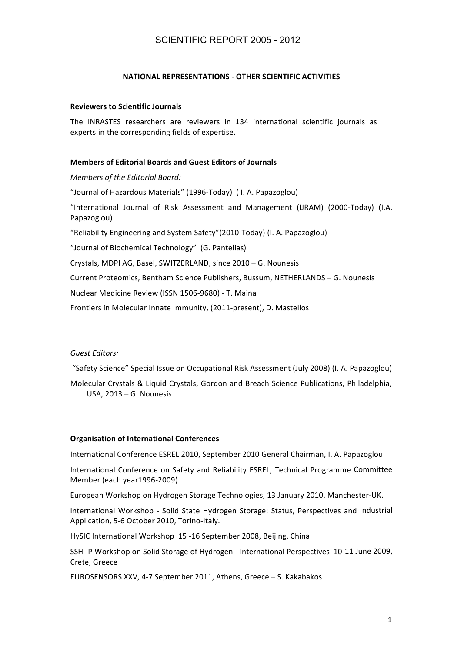# SCIENTIFIC REPORT 2005 - 2012

# **NATIONAL REPRESENTATIONS - OTHER SCIENTIFIC ACTIVITIES**

# **Reviewers to Scientific Journals**

The INRASTES researchers are reviewers in 134 international scientific journals as experts in the corresponding fields of expertise.

# **Members of Editorial Boards and Guest Editors of Journals**

*Members'of'the'Editorial'Board:'*

"Journal of Hazardous Materials" (1996-Today) ( I. A. Papazoglou)

"International Journal of Risk Assessment and Management (IJRAM) (2000-Today) (I.A. Papazoglou)!

"Reliability Engineering and System Safety"(2010-Today) (I. A. Papazoglou)

"Journal of Biochemical Technology" (G. Pantelias)

Crystals, MDPI AG, Basel, SWITZERLAND, since 2010 – G. Nounesis

Current Proteomics, Bentham Science Publishers, Bussum, NETHERLANDS – G. Nounesis

Nuclear Medicine Review (ISSN 1506-9680) - T. Maina

Frontiers in Molecular Innate Immunity, (2011-present), D. Mastellos

Guest Editors:

"Safety Science" Special Issue on Occupational Risk Assessment (July 2008) (I. A. Papazoglou)

Molecular Crystals & Liquid Crystals, Gordon and Breach Science Publications, Philadelphia, USA,  $2013 - G$ . Nounesis

# **Organisation of International Conferences**

International Conference ESREL 2010, September 2010 General Chairman, I. A. Papazoglou

International Conference on Safety and Reliability ESREL, Technical Programme Committee Member (each year1996-2009)

European Workshop on Hydrogen Storage Technologies, 13 January 2010, Manchester-UK.

International Workshop - Solid State Hydrogen Storage: Status, Perspectives and Industrial Application, 5-6 October 2010, Torino-Italy.

HySIC International Workshop 15 -16 September 2008, Beijing, China

SSH-IP Workshop on Solid Storage of Hydrogen - International Perspectives 10-11 June 2009, Crete, Greece!

EUROSENSORS XXV, 4-7 September 2011, Athens, Greece – S. Kakabakos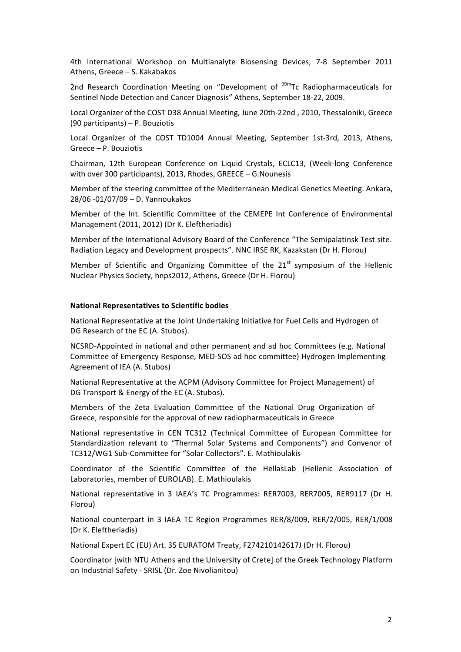4th International Workshop on Multianalyte Biosensing Devices, 7-8 September 2011 Athens, Greece – S. Kakabakos

2nd Research Coordination Meeting on "Development of <sup>99m</sup>Tc Radiopharmaceuticals for Sentinel Node Detection and Cancer Diagnosis" Athens, September 18-22, 2009.

Local Organizer of the COST D38 Annual Meeting, June 20th-22nd, 2010, Thessaloniki, Greece (90 participants) – P. Bouziotis

Local Organizer of the COST TD1004 Annual Meeting, September 1st-3rd, 2013, Athens, Greece – P. Bouziotis

Chairman, 12th European Conference on Liquid Crystals, ECLC13, (Week-long Conference with over 300 participants), 2013, Rhodes, GREECE – G.Nounesis

Member of the steering committee of the Mediterranean Medical Genetics Meeting. Ankara, 28/06 -01/07/09 - D. Yannoukakos

Member of the Int. Scientific Committee of the CEMEPE Int Conference of Environmental Management (2011, 2012) (Dr K. Eleftheriadis)

Member of the International Advisory Board of the Conference "The Semipalatinsk Test site. Radiation Legacy and Development prospects". NNC IRSE RK, Kazakstan (Dr H. Florou)

Member of Scientific and Organizing Committee of the  $21<sup>st</sup>$  symposium of the Hellenic Nuclear Physics Society, hnps2012, Athens, Greece (Dr H. Florou)

# **National%Representatives to Scientific bodies**

National Representative at the Joint Undertaking Initiative for Fuel Cells and Hydrogen of DG Research of the EC (A. Stubos).

NCSRD-Appointed in national and other permanent and ad hoc Committees (e.g. National Committee of Emergency Response, MED-SOS ad hoc committee) Hydrogen Implementing Agreement of IEA (A. Stubos)

National Representative at the ACPM (Advisory Committee for Project Management) of DG Transport & Energy of the EC (A. Stubos).

Members of the Zeta Evaluation Committee of the National Drug Organization of Greece, responsible for the approval of new radiopharmaceuticals in Greece

National representative in CEN TC312 (Technical Committee of European Committee for Standardization relevant to "Thermal Solar Systems and Components") and Convenor of TC312/WG1 Sub-Committee for "Solar Collectors". E. Mathioulakis

Coordinator of the Scientific Committee of the HellasLab (Hellenic Association of Laboratories, member of EUROLAB). E. Mathioulakis

National representative in 3 IAEA's TC Programmes: RER7003, RER7005, RER9117 (Dr H. Florou)!

National counterpart in 3 IAEA TC Region Programmes RER/8/009, RER/2/005, RER/1/008 (Dr K. Eleftheriadis)

National Expert EC (EU) Art. 35 EURATOM Treaty, F274210142617J (Dr H. Florou)

Coordinator [with NTU Athens and the University of Crete] of the Greek Technology Platform on Industrial Safety - SRISL (Dr. Zoe Nivolianitou)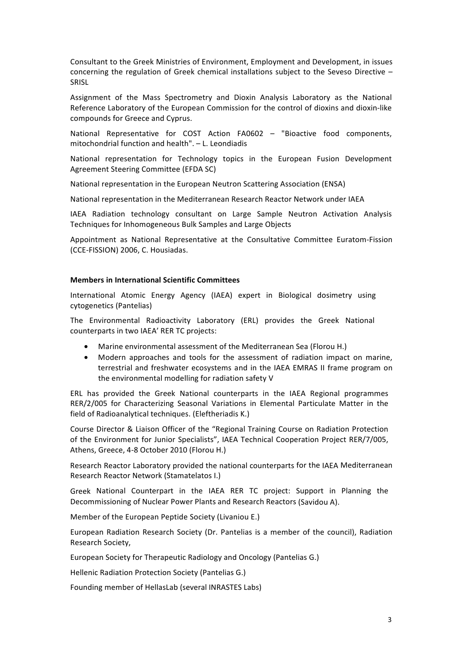Consultant to the Greek Ministries of Environment, Employment and Development, in issues concerning the regulation of Greek chemical installations subject to the Seveso Directive – SRISL

Assignment of the Mass Spectrometry and Dioxin Analysis Laboratory as the National Reference Laboratory of the European Commission for the control of dioxins and dioxin-like compounds for Greece and Cyprus.

National Representative for COST Action FA0602 – "Bioactive food components, mitochondrial function and health".  $-$  L. Leondiadis

National representation for Technology topics in the European Fusion Development Agreement Steering Committee (EFDA SC)

National representation in the European Neutron Scattering Association (ENSA)

National representation in the Mediterranean Research Reactor Network under IAEA

IAEA Radiation technology consultant on Large Sample Neutron Activation Analysis Techniques for Inhomogeneous Bulk Samples and Large Objects

Appointment as National Representative at the Consultative Committee Euratom-Fission (CCE-FISSION) 2006, C. Housiadas.

# **Members in International Scientific Committees**

International Atomic Energy Agency (IAEA) expert in Biological dosimetry using cytogenetics (Pantelias)

The Environmental Radioactivity Laboratory (ERL) provides the Greek National! counterparts in two IAEA' RER TC projects:

- Marine environmental assessment of the Mediterranean Sea (Florou H.)
- Modern approaches and tools for the assessment of radiation impact on marine, terrestrial and freshwater ecosystems and in the IAEA EMRAS II frame program on the environmental modelling for radiation safety V

ERL has provided the Greek National counterparts in the IAEA Regional programmes RER/2/005 for Characterizing Seasonal Variations in Elemental Particulate Matter in the field of Radioanalytical techniques. (Eleftheriadis K.)

Course Director & Liaison Officer of the "Regional Training Course on Radiation Protection of the Environment for Junior Specialists", IAEA Technical Cooperation Project RER/7/005, Athens, Greece, 4-8 October 2010 (Florou H.)

Research Reactor Laboratory provided the national counterparts for the IAEA Mediterranean Research Reactor Network (Stamatelatos I.)

Greek National Counterpart in the IAEA RER TC project: Support in Planning the Decommissioning of Nuclear Power Plants and Research Reactors (Savidou A).

Member of the European Peptide Society (Livaniou E.)

European Radiation Research Society (Dr. Pantelias is a member of the council), Radiation Research Society,

European Society for Therapeutic Radiology and Oncology (Pantelias G.)

Hellenic Radiation Protection Society (Pantelias G.)

Founding member of HellasLab (several INRASTES Labs)